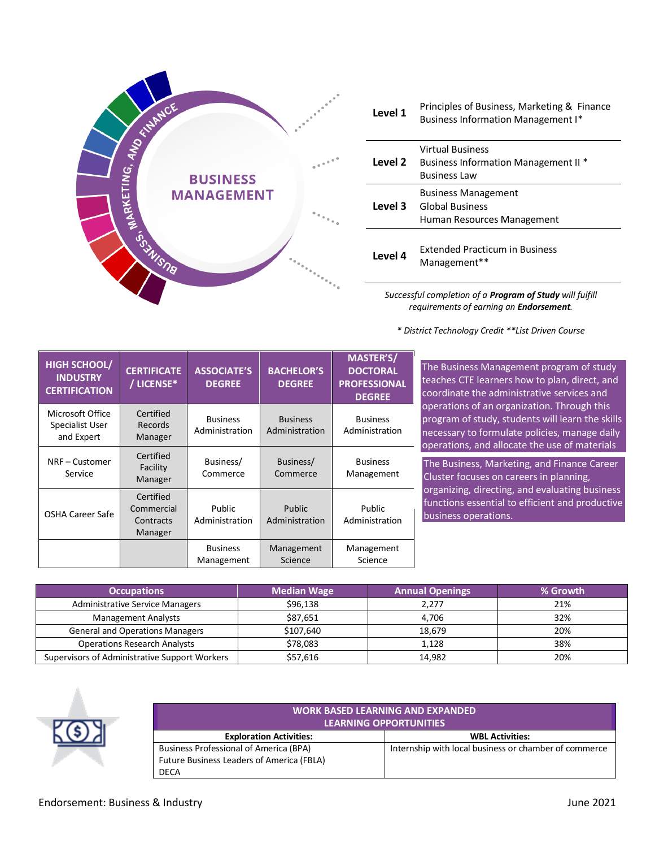

| Level 1 | Principles of Business, Marketing & Finance<br><b>Business Information Management I*</b> |
|---------|------------------------------------------------------------------------------------------|
| Level 2 | Virtual Business<br><b>Business Information Management II *</b><br><b>Business Law</b>   |
| Level 3 | <b>Business Management</b><br><b>Global Business</b><br>Human Resources Management       |
| Level 4 | <b>Extended Practicum in Business</b><br>Management**                                    |

*Successful completion of a Program of Study will fulfill requirements of earning an Endorsement.*

*\* District Technology Credit \*\*List Driven Course*

| <b>HIGH SCHOOL/</b><br><b>INDUSTRY</b><br><b>CERTIFICATION</b> | <b>CERTIFICATE</b><br>/ LICENSE*                | <b>ASSOCIATE'S</b><br><b>DEGREE</b> | <b>BACHELOR'S</b><br><b>DEGREE</b> | <b>MASTER'S/</b><br><b>DOCTORAL</b><br><b>PROFESSIONAL</b><br><b>DEGREE</b> |
|----------------------------------------------------------------|-------------------------------------------------|-------------------------------------|------------------------------------|-----------------------------------------------------------------------------|
| Microsoft Office<br>Specialist User<br>and Expert              | Certified<br><b>Records</b><br>Manager          | <b>Business</b><br>Administration   | <b>Business</b><br>Administration  | <b>Business</b><br>Administration                                           |
| NRF - Customer<br>Service                                      | Certified<br>Facility<br>Manager                | Business/<br>Commerce               | Business/<br>Commerce              | <b>Business</b><br>Management                                               |
| <b>OSHA Career Safe</b>                                        | Certified<br>Commercial<br>Contracts<br>Manager | Public<br>Administration            | Public<br>Administration           | Public<br>Administration                                                    |
|                                                                |                                                 | <b>Business</b><br>Management       | Management<br>Science              | Management<br>Science                                                       |

Isiness Management program of study es CTE learners how to plan, direct, and nate the administrative services and ions of an organization. Through this m of study, students will learn the skills ary to formulate policies, manage daily tions, and allocate the use of materials The Business, Marketing, and Finance Career

will also introduce students to mathematical cluster focuses on careers in planning, organizing, directing, and evaluating business functions essential to efficient and productive ess operations.

| <b>Occupations</b>                            | <b>Median Wage</b> | <b>Annual Openings</b> | % Growth |
|-----------------------------------------------|--------------------|------------------------|----------|
| <b>Administrative Service Managers</b>        | \$96,138           | 2,277                  | 21%      |
| <b>Management Analysts</b>                    | \$87.651           | 4.706                  | 32%      |
| <b>General and Operations Managers</b>        | \$107,640          | 18,679                 | 20%      |
| <b>Operations Research Analysts</b>           | \$78,083           | 1,128                  | 38%      |
| Supervisors of Administrative Support Workers | \$57,616           | 14,982                 | 20%      |



| <b>WORK BASED LEARNING AND EXPANDED</b><br><b>LEARNING OPPORTUNITIES</b> |                                                       |  |  |  |  |
|--------------------------------------------------------------------------|-------------------------------------------------------|--|--|--|--|
| <b>Exploration Activities:</b>                                           | <b>WBL Activities:</b>                                |  |  |  |  |
| <b>Business Professional of America (BPA)</b>                            | Internship with local business or chamber of commerce |  |  |  |  |
| <b>Future Business Leaders of America (FBLA)</b>                         |                                                       |  |  |  |  |
| DECA                                                                     |                                                       |  |  |  |  |